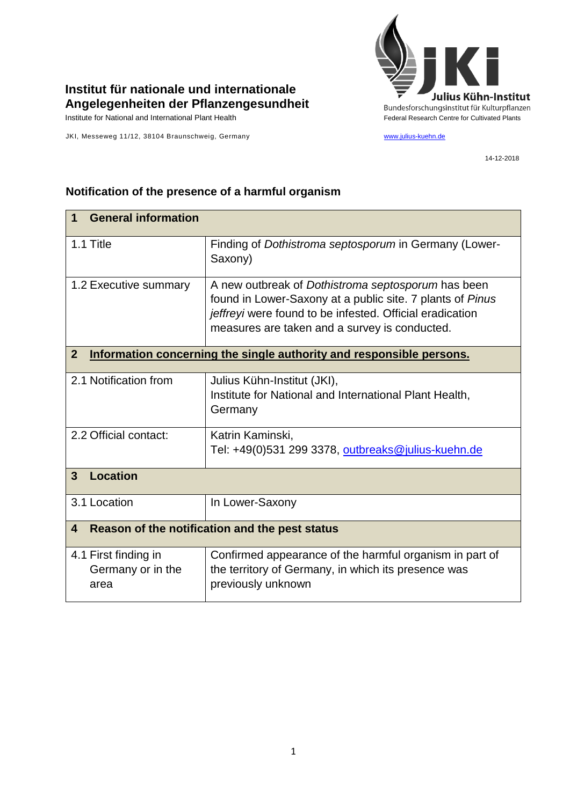

## **Institut für nationale und internationale Angelegenheiten der Pflanzengesundheit**

JKI, Messeweg 11/12, 38104 Braunschweig, Germany [www.julius-kuehn.de](http://www.julius-kuehn.de/)

14-12-2018

| <b>General information</b><br>1                                                        |                                                                                                                                                                                                                              |  |
|----------------------------------------------------------------------------------------|------------------------------------------------------------------------------------------------------------------------------------------------------------------------------------------------------------------------------|--|
| 1.1 Title                                                                              | Finding of Dothistroma septosporum in Germany (Lower-<br>Saxony)                                                                                                                                                             |  |
| 1.2 Executive summary                                                                  | A new outbreak of Dothistroma septosporum has been<br>found in Lower-Saxony at a public site. 7 plants of Pinus<br>jeffreyi were found to be infested. Official eradication<br>measures are taken and a survey is conducted. |  |
| $\overline{2}$<br>Information concerning the single authority and responsible persons. |                                                                                                                                                                                                                              |  |
| 2.1 Notification from                                                                  | Julius Kühn-Institut (JKI),<br>Institute for National and International Plant Health,<br>Germany                                                                                                                             |  |
| 2.2 Official contact:                                                                  | Katrin Kaminski,<br>Tel: +49(0)531 299 3378, outbreaks@julius-kuehn.de                                                                                                                                                       |  |
| <b>Location</b><br>$\mathbf{3}$                                                        |                                                                                                                                                                                                                              |  |
| 3.1 Location                                                                           | In Lower-Saxony                                                                                                                                                                                                              |  |
| Reason of the notification and the pest status<br>4                                    |                                                                                                                                                                                                                              |  |
| 4.1 First finding in<br>Germany or in the<br>area                                      | Confirmed appearance of the harmful organism in part of<br>the territory of Germany, in which its presence was<br>previously unknown                                                                                         |  |

## **Notification of the presence of a harmful organism**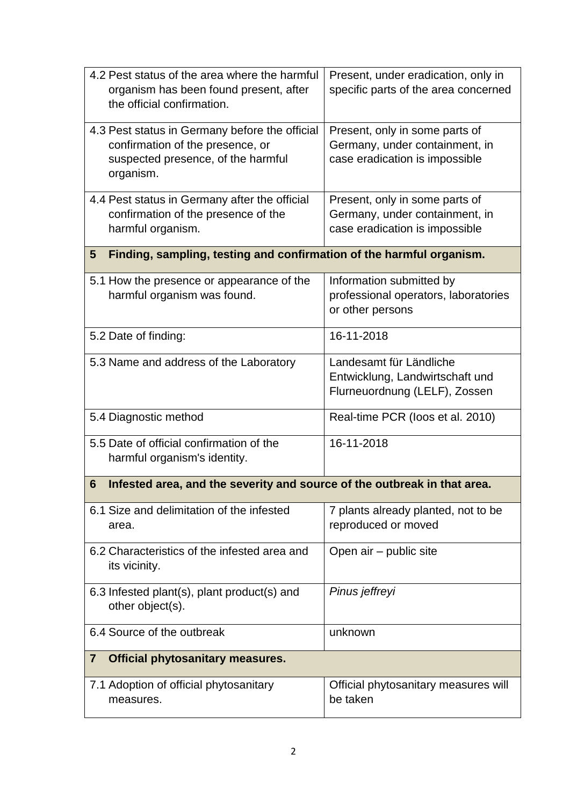| 4.2 Pest status of the area where the harmful<br>organism has been found present, after<br>the official confirmation.                 | Present, under eradication, only in<br>specific parts of the area concerned                        |  |  |
|---------------------------------------------------------------------------------------------------------------------------------------|----------------------------------------------------------------------------------------------------|--|--|
| 4.3 Pest status in Germany before the official<br>confirmation of the presence, or<br>suspected presence, of the harmful<br>organism. | Present, only in some parts of<br>Germany, under containment, in<br>case eradication is impossible |  |  |
| 4.4 Pest status in Germany after the official<br>confirmation of the presence of the<br>harmful organism.                             | Present, only in some parts of<br>Germany, under containment, in<br>case eradication is impossible |  |  |
| Finding, sampling, testing and confirmation of the harmful organism.<br>$5\phantom{.0}$                                               |                                                                                                    |  |  |
| 5.1 How the presence or appearance of the<br>harmful organism was found.                                                              | Information submitted by<br>professional operators, laboratories<br>or other persons               |  |  |
| 5.2 Date of finding:                                                                                                                  | 16-11-2018                                                                                         |  |  |
| 5.3 Name and address of the Laboratory                                                                                                | Landesamt für Ländliche<br>Entwicklung, Landwirtschaft und<br>Flurneuordnung (LELF), Zossen        |  |  |
| 5.4 Diagnostic method                                                                                                                 | Real-time PCR (loos et al. 2010)                                                                   |  |  |
| 5.5 Date of official confirmation of the<br>harmful organism's identity.                                                              | 16-11-2018                                                                                         |  |  |
| Infested area, and the severity and source of the outbreak in that area.<br>6                                                         |                                                                                                    |  |  |
| 6.1 Size and delimitation of the infested<br>area.                                                                                    | 7 plants already planted, not to be<br>reproduced or moved                                         |  |  |
| 6.2 Characteristics of the infested area and<br>its vicinity.                                                                         | Open air - public site                                                                             |  |  |
| 6.3 Infested plant(s), plant product(s) and<br>other object(s).                                                                       | Pinus jeffreyi                                                                                     |  |  |
| 6.4 Source of the outbreak                                                                                                            | unknown                                                                                            |  |  |
| <b>Official phytosanitary measures.</b><br>$\overline{\mathbf{7}}$                                                                    |                                                                                                    |  |  |
| 7.1 Adoption of official phytosanitary<br>measures.                                                                                   | Official phytosanitary measures will<br>be taken                                                   |  |  |